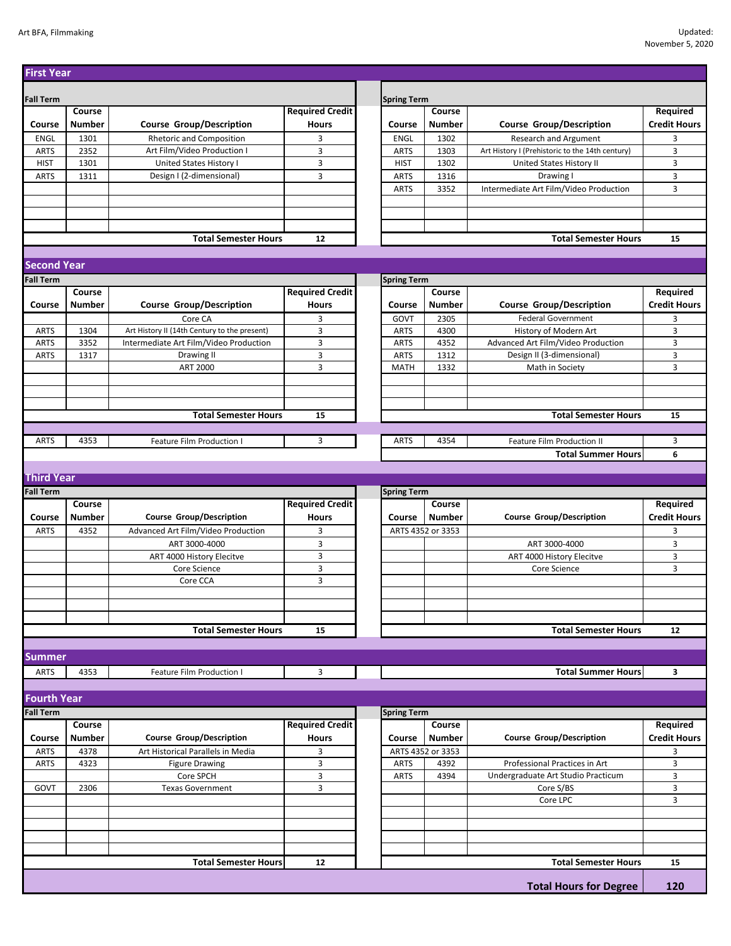| <b>First Year</b>  |               |                                              |                        |                    |                   |                                                 |                     |
|--------------------|---------------|----------------------------------------------|------------------------|--------------------|-------------------|-------------------------------------------------|---------------------|
|                    |               |                                              |                        |                    |                   |                                                 |                     |
| <b>Fall Term</b>   |               |                                              |                        | <b>Spring Term</b> |                   |                                                 |                     |
|                    | Course        |                                              | <b>Required Credit</b> |                    | Course            |                                                 | <b>Required</b>     |
| Course             | <b>Number</b> | <b>Course Group/Description</b>              | <b>Hours</b>           | Course             | <b>Number</b>     | <b>Course Group/Description</b>                 | <b>Credit Hours</b> |
| ENGL               | 1301          | Rhetoric and Composition                     | 3                      | <b>ENGL</b>        | 1302              | <b>Research and Argument</b>                    | 3                   |
| <b>ARTS</b>        | 2352          | Art Film/Video Production I                  | 3                      | <b>ARTS</b>        | 1303              | Art History I (Prehistoric to the 14th century) | 3                   |
| <b>HIST</b>        | 1301          | United States History I                      | 3                      | <b>HIST</b>        | 1302              | United States History II                        | 3                   |
| <b>ARTS</b>        | 1311          | Design I (2-dimensional)                     | 3                      | <b>ARTS</b>        | 1316              | Drawing I                                       | 3                   |
|                    |               |                                              |                        | <b>ARTS</b>        | 3352              | Intermediate Art Film/Video Production          | 3                   |
|                    |               |                                              |                        |                    |                   |                                                 |                     |
|                    |               |                                              |                        |                    |                   |                                                 |                     |
|                    |               |                                              |                        |                    |                   |                                                 |                     |
|                    |               | <b>Total Semester Hours</b>                  | 12                     |                    |                   | <b>Total Semester Hours</b>                     | 15                  |
|                    |               |                                              |                        |                    |                   |                                                 |                     |
| <b>Second Year</b> |               |                                              |                        |                    |                   |                                                 |                     |
| <b>Fall Term</b>   |               | <b>Spring Term</b>                           |                        |                    |                   |                                                 |                     |
|                    | Course        |                                              | <b>Required Credit</b> |                    | Course            |                                                 | Required            |
| Course             | <b>Number</b> | <b>Course Group/Description</b>              | <b>Hours</b>           | Course             | <b>Number</b>     | <b>Course Group/Description</b>                 | <b>Credit Hours</b> |
|                    |               | Core CA                                      | 3                      | GOVT               | 2305              | <b>Federal Government</b>                       | 3                   |
| <b>ARTS</b>        | 1304          | Art History II (14th Century to the present) | 3                      | <b>ARTS</b>        | 4300              | History of Modern Art                           | 3                   |
| <b>ARTS</b>        | 3352          | Intermediate Art Film/Video Production       | 3                      | <b>ARTS</b>        | 4352              | Advanced Art Film/Video Production              | 3                   |
| <b>ARTS</b>        | 1317          | Drawing II                                   | 3                      | <b>ARTS</b>        | 1312              | Design II (3-dimensional)                       | 3                   |
|                    |               | ART 2000                                     | 3                      | <b>MATH</b>        | 1332              | Math in Society                                 | 3                   |
|                    |               |                                              |                        |                    |                   |                                                 |                     |
|                    |               |                                              |                        |                    |                   |                                                 |                     |
|                    |               | <b>Total Semester Hours</b>                  | 15                     |                    |                   | <b>Total Semester Hours</b>                     | 15                  |
|                    |               |                                              |                        |                    |                   |                                                 |                     |
| <b>ARTS</b>        | 4353          | Feature Film Production I                    | 3                      | <b>ARTS</b>        | 4354              | Feature Film Production II                      | 3                   |
|                    |               |                                              |                        |                    |                   | <b>Total Summer Hours</b>                       | 6                   |
|                    |               |                                              |                        |                    |                   |                                                 |                     |
| <b>Third Year</b>  |               |                                              |                        |                    |                   |                                                 |                     |
| <b>Fall Term</b>   |               |                                              |                        | <b>Spring Term</b> |                   |                                                 |                     |
|                    | Course        |                                              | <b>Required Credit</b> |                    | Course            |                                                 | Required            |
| Course             | <b>Number</b> | <b>Course Group/Description</b>              | <b>Hours</b>           | Course             | <b>Number</b>     | <b>Course Group/Description</b>                 | <b>Credit Hours</b> |
| <b>ARTS</b>        | 4352          | Advanced Art Film/Video Production           | 3                      |                    | ARTS 4352 or 3353 |                                                 | 3                   |
|                    |               | ART 3000-4000                                | 3                      |                    |                   | ART 3000-4000                                   | 3                   |
|                    |               | ART 4000 History Elecitve                    | 3                      |                    |                   | ART 4000 History Elecitve                       | 3                   |
|                    |               | Core Science                                 | 3                      |                    |                   | Core Science                                    | 3                   |
|                    |               | Core CCA                                     | 3                      |                    |                   |                                                 |                     |
|                    |               |                                              |                        |                    |                   |                                                 |                     |
|                    |               |                                              |                        |                    |                   |                                                 |                     |
|                    |               |                                              |                        |                    |                   |                                                 |                     |
|                    |               | <b>Total Semester Hours</b>                  | 15                     |                    |                   | <b>Total Semester Hours</b>                     | 12                  |
|                    |               |                                              |                        |                    |                   |                                                 |                     |
| <b>Summer</b>      |               |                                              |                        |                    |                   |                                                 |                     |
| <b>ARTS</b>        | 4353          | Feature Film Production I                    | 3                      |                    |                   | <b>Total Summer Hours</b>                       | 3                   |
|                    |               |                                              |                        |                    |                   |                                                 |                     |
| <b>Fourth Year</b> |               |                                              |                        |                    |                   |                                                 |                     |
| <b>Fall Term</b>   |               |                                              |                        | <b>Spring Term</b> |                   |                                                 |                     |
|                    | Course        |                                              | <b>Required Credit</b> |                    | Course            |                                                 | Required            |
| Course             | Number        | <b>Course Group/Description</b>              | <b>Hours</b>           | Course             | <b>Number</b>     | <b>Course Group/Description</b>                 | <b>Credit Hours</b> |
| ARTS               | 4378          | Art Historical Parallels in Media            | 3                      |                    | ARTS 4352 or 3353 |                                                 | 3                   |
| <b>ARTS</b>        | 4323          | <b>Figure Drawing</b>                        | 3                      | <b>ARTS</b>        | 4392              | Professional Practices in Art                   | 3                   |
|                    |               | Core SPCH                                    | 3                      | <b>ARTS</b>        | 4394              | Undergraduate Art Studio Practicum              | 3                   |
| GOVT               | 2306          | <b>Texas Government</b>                      | 3                      |                    |                   | Core S/BS                                       | 3                   |
|                    |               |                                              |                        |                    |                   | Core LPC                                        | 3                   |
|                    |               |                                              |                        |                    |                   |                                                 |                     |
|                    |               |                                              |                        |                    |                   |                                                 |                     |
|                    |               |                                              |                        |                    |                   |                                                 |                     |
|                    |               |                                              |                        |                    |                   |                                                 |                     |
|                    |               | <b>Total Semester Hours</b>                  | 12                     |                    |                   | <b>Total Semester Hours</b>                     | 15                  |
|                    |               |                                              |                        |                    |                   |                                                 |                     |
|                    |               |                                              |                        |                    |                   | <b>Total Hours for Degree</b>                   | 120                 |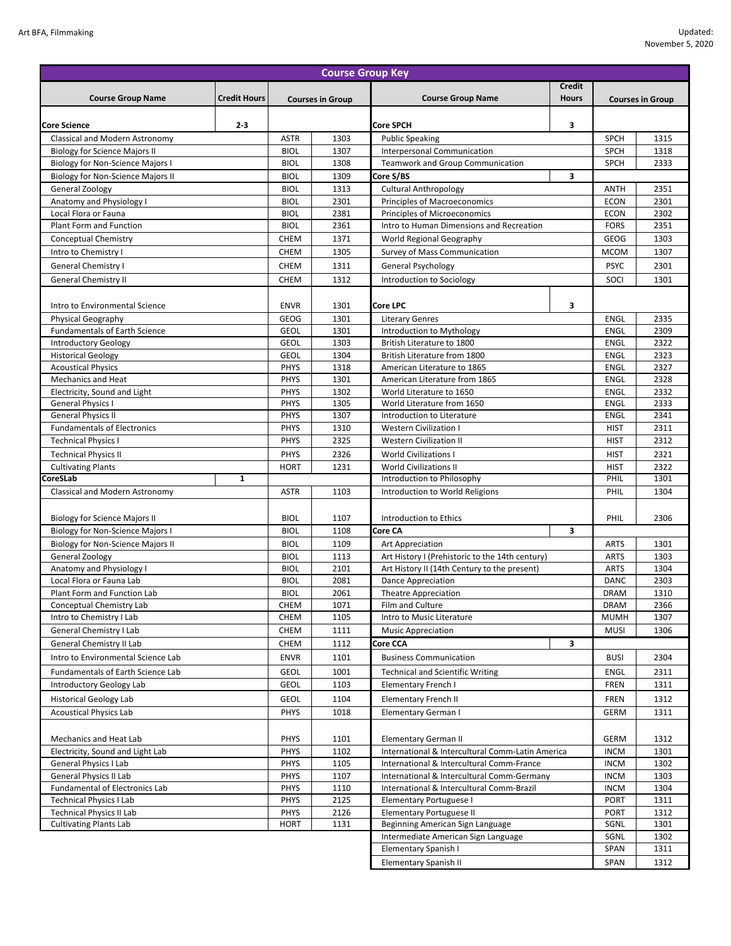| <b>Course Group Key</b>                                  |                     |                            |              |                                                                                         |                            |                            |              |
|----------------------------------------------------------|---------------------|----------------------------|--------------|-----------------------------------------------------------------------------------------|----------------------------|----------------------------|--------------|
|                                                          |                     |                            |              |                                                                                         | <b>Credit</b>              |                            |              |
| <b>Course Group Name</b>                                 | <b>Credit Hours</b> | <b>Courses in Group</b>    |              | <b>Course Group Name</b>                                                                | <b>Hours</b>               | <b>Courses in Group</b>    |              |
|                                                          |                     |                            |              |                                                                                         |                            |                            |              |
| <b>Core Science</b>                                      | $2 - 3$             |                            |              | Core SPCH                                                                               | 3                          |                            |              |
| Classical and Modern Astronomy                           |                     | <b>ASTR</b>                | 1303         | <b>Public Speaking</b>                                                                  |                            | <b>SPCH</b>                | 1315         |
| <b>Biology for Science Majors II</b>                     |                     | <b>BIOL</b>                | 1307         | Interpersonal Communication                                                             |                            | <b>SPCH</b>                | 1318         |
| <b>Biology for Non-Science Majors I</b>                  |                     | <b>BIOL</b>                | 1308         | <b>Teamwork and Group Communication</b>                                                 |                            | <b>SPCH</b>                | 2333         |
| <b>Biology for Non-Science Majors II</b>                 |                     | <b>BIOL</b>                | 1309         | Core S/BS                                                                               | 3                          |                            |              |
| General Zoology                                          |                     | <b>BIOL</b>                | 1313         | <b>Cultural Anthropology</b>                                                            |                            | <b>ANTH</b>                | 2351         |
| Anatomy and Physiology I                                 |                     | <b>BIOL</b>                | 2301         | Principles of Macroeconomics                                                            |                            | <b>ECON</b>                | 2301         |
| Local Flora or Fauna<br><b>Plant Form and Function</b>   |                     | <b>BIOL</b><br><b>BIOL</b> | 2381<br>2361 | <b>Principles of Microeconomics</b><br>Intro to Human Dimensions and Recreation         | <b>ECON</b><br><b>FORS</b> | 2302<br>2351               |              |
|                                                          |                     |                            |              | World Regional Geography                                                                |                            |                            |              |
| <b>Conceptual Chemistry</b>                              |                     | <b>CHEM</b><br><b>CHEM</b> | 1371<br>1305 | Survey of Mass Communication                                                            | <b>GEOG</b><br><b>MCOM</b> | 1303<br>1307               |              |
| Intro to Chemistry I                                     |                     |                            |              |                                                                                         |                            |                            |              |
| General Chemistry I                                      |                     | CHEM                       | 1311         | General Psychology                                                                      |                            | <b>PSYC</b>                | 2301         |
| <b>General Chemistry II</b>                              |                     | CHEM                       | 1312         | Introduction to Sociology                                                               |                            | SOCI                       | 1301         |
|                                                          |                     |                            |              |                                                                                         |                            |                            |              |
| Intro to Environmental Science                           |                     | <b>ENVR</b>                | 1301         | Core LPC                                                                                | 3                          |                            |              |
| Physical Geography                                       |                     | <b>GEOG</b>                | 1301         | <b>Literary Genres</b>                                                                  |                            | <b>ENGL</b>                | 2335         |
| <b>Fundamentals of Earth Science</b>                     |                     | <b>GEOL</b>                | 1301         | Introduction to Mythology                                                               |                            | <b>ENGL</b>                | 2309         |
| <b>Introductory Geology</b><br><b>Historical Geology</b> |                     | <b>GEOL</b><br><b>GEOL</b> | 1303<br>1304 | British Literature to 1800<br>British Literature from 1800                              |                            | <b>ENGL</b><br><b>ENGL</b> | 2322<br>2323 |
| <b>Acoustical Physics</b>                                |                     | <b>PHYS</b>                | 1318         | American Literature to 1865                                                             |                            | <b>ENGL</b>                | 2327         |
| <b>Mechanics and Heat</b>                                |                     | PHYS                       | 1301         | American Literature from 1865                                                           |                            | <b>ENGL</b>                | 2328         |
| Electricity, Sound and Light                             |                     | PHYS                       | 1302         | World Literature to 1650                                                                |                            | <b>ENGL</b>                | 2332         |
| <b>General Physics I</b>                                 |                     | <b>PHYS</b>                | 1305         | World Literature from 1650                                                              |                            | <b>ENGL</b>                | 2333         |
| <b>General Physics II</b>                                |                     | PHYS                       | 1307         | Introduction to Literature                                                              |                            | <b>ENGL</b>                | 2341         |
| <b>Fundamentals of Electronics</b>                       |                     | <b>PHYS</b>                | 1310         | <b>Western Civilization I</b>                                                           |                            | <b>HIST</b>                | 2311         |
| <b>Technical Physics I</b>                               |                     | PHYS                       | 2325         | <b>Western Civilization II</b>                                                          |                            | <b>HIST</b>                | 2312         |
| <b>Technical Physics II</b>                              |                     | <b>PHYS</b>                | 2326         | <b>World Civilizations I</b>                                                            | <b>HIST</b>                | 2321                       |              |
| <b>Cultivating Plants</b>                                |                     | <b>HORT</b>                | 1231         | <b>World Civilizations II</b>                                                           |                            | <b>HIST</b>                | 2322         |
| CoreSLab                                                 | 1                   |                            |              | Introduction to Philosophy                                                              |                            | PHIL                       | 1301         |
| Classical and Modern Astronomy                           |                     | <b>ASTR</b>                | 1103         | Introduction to World Religions                                                         |                            | PHIL                       | 1304         |
|                                                          |                     |                            |              |                                                                                         |                            |                            |              |
| <b>Biology for Science Majors II</b>                     |                     | <b>BIOL</b>                | 1107         | <b>Introduction to Ethics</b>                                                           |                            | PHIL                       | 2306         |
| <b>Biology for Non-Science Majors I</b>                  |                     | <b>BIOL</b>                | 1108         | Core CA<br>3                                                                            |                            |                            |              |
| <b>Biology for Non-Science Majors II</b>                 |                     | <b>BIOL</b>                | 1109         | Art Appreciation                                                                        |                            | <b>ARTS</b>                | 1301         |
| General Zoology                                          |                     | <b>BIOL</b>                | 1113         | Art History I (Prehistoric to the 14th century)                                         |                            | <b>ARTS</b>                | 1303         |
| Anatomy and Physiology I                                 |                     | <b>BIOL</b>                | 2101         | Art History II (14th Century to the present)                                            |                            | <b>ARTS</b>                | 1304         |
| Local Flora or Fauna Lab                                 |                     | <b>BIOL</b>                | 2081         | Dance Appreciation                                                                      |                            | <b>DANC</b>                | 2303         |
| Plant Form and Function Lab                              |                     | <b>BIOL</b>                | 2061         | <b>Theatre Appreciation</b><br>Film and Culture                                         |                            | DRAM                       | 1310         |
| Conceptual Chemistry Lab                                 |                     | <b>CHEM</b><br>CHEM        | 1071<br>1105 | Intro to Music Literature                                                               |                            | <b>DRAM</b><br><b>MUMH</b> | 2366<br>1307 |
| Intro to Chemistry I Lab<br>General Chemistry I Lab      |                     | CHEM                       | 1111         | <b>Music Appreciation</b>                                                               |                            | <b>MUSI</b>                | 1306         |
| General Chemistry II Lab                                 |                     | CHEM                       | 1112         | Core CCA                                                                                | 3                          |                            |              |
|                                                          |                     |                            |              |                                                                                         |                            |                            |              |
| Intro to Environmental Science Lab                       |                     | <b>ENVR</b>                | 1101         | <b>Business Communication</b>                                                           |                            | <b>BUSI</b>                | 2304         |
| Fundamentals of Earth Science Lab                        |                     | <b>GEOL</b>                | 1001         | <b>Technical and Scientific Writing</b>                                                 |                            | ENGL                       | 2311         |
| Introductory Geology Lab                                 |                     | <b>GEOL</b>                | 1103         | <b>Elementary French I</b>                                                              |                            | <b>FREN</b>                | 1311         |
| <b>Historical Geology Lab</b>                            |                     | <b>GEOL</b>                | 1104         | <b>Elementary French II</b>                                                             |                            | <b>FREN</b>                | 1312         |
| <b>Acoustical Physics Lab</b>                            |                     | <b>PHYS</b>                | 1018         | Elementary German I                                                                     |                            | <b>GERM</b>                | 1311         |
|                                                          |                     |                            |              |                                                                                         |                            |                            |              |
| Mechanics and Heat Lab                                   |                     | <b>PHYS</b>                | 1101         | <b>Elementary German II</b>                                                             |                            | <b>GERM</b>                | 1312         |
| Electricity, Sound and Light Lab                         |                     | <b>PHYS</b>                | 1102         | International & Intercultural Comm-Latin America                                        |                            | <b>INCM</b>                | 1301         |
| General Physics I Lab                                    |                     | <b>PHYS</b>                | 1105         | International & Intercultural Comm-France                                               |                            | <b>INCM</b>                | 1302         |
| General Physics II Lab<br>Fundamental of Electronics Lab |                     | PHYS<br><b>PHYS</b>        | 1107<br>1110 | International & Intercultural Comm-Germany<br>International & Intercultural Comm-Brazil |                            | <b>INCM</b><br><b>INCM</b> | 1303<br>1304 |
| <b>Technical Physics I Lab</b>                           |                     | <b>PHYS</b>                | 2125         |                                                                                         |                            | <b>PORT</b>                | 1311         |
| <b>Technical Physics II Lab</b>                          |                     | <b>PHYS</b>                | 2126         | Elementary Portuguese I<br><b>Elementary Portuguese II</b>                              |                            | <b>PORT</b>                | 1312         |
| <b>Cultivating Plants Lab</b>                            |                     | <b>HORT</b>                | 1131         | Beginning American Sign Language                                                        |                            | SGNL                       | 1301         |
|                                                          |                     |                            |              | Intermediate American Sign Language                                                     |                            | SGNL                       | 1302         |
|                                                          |                     |                            |              | Elementary Spanish I                                                                    |                            | <b>SPAN</b>                | 1311         |
|                                                          |                     |                            |              | <b>Elementary Spanish II</b>                                                            |                            | SPAN                       | 1312         |